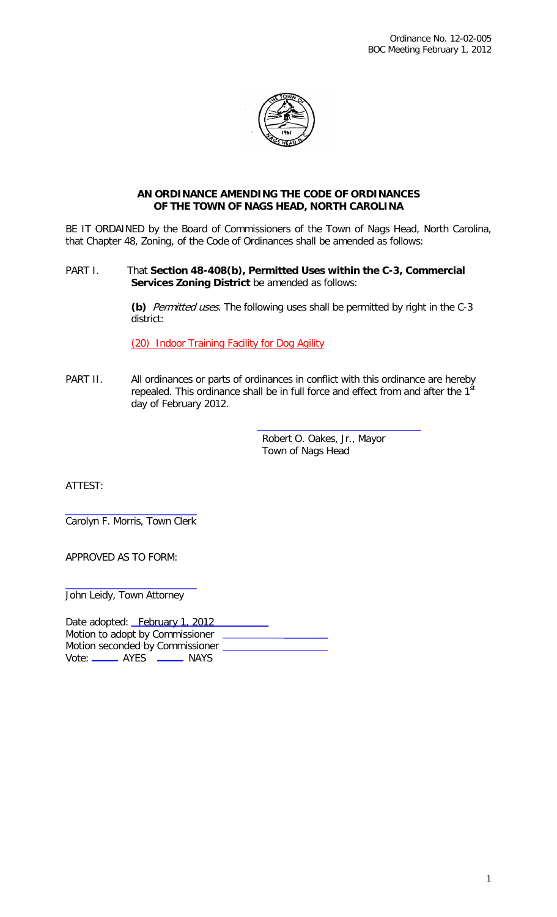

## **AN ORDINANCE AMENDING THE CODE OF ORDINANCES OF THE TOWN OF NAGS HEAD, NORTH CAROLINA**

BE IT ORDAINED by the Board of Commissioners of the Town of Nags Head, North Carolina, that Chapter 48, Zoning, of the Code of Ordinances shall be amended as follows:

## PART I. That **Section 48-408(b), Permitted Uses within the C-3, Commercial Services Zoning District** be amended as follows:

**(b)** Permitted uses. The following uses shall be permitted by right in the C-3 district:

(20) Indoor Training Facility for Dog Agility

PART II. All ordinances or parts of ordinances in conflict with this ordinance are hereby repealed. This ordinance shall be in full force and effect from and after the  $1<sup>st</sup>$ day of February 2012.

> Robert O. Oakes, Jr., Mayor Town of Nags Head

ATTEST:

Carolyn F. Morris, Town Clerk

APPROVED AS TO FORM:

John Leidy, Town Attorney

Date adopted: February 1, 2012 Motion to adopt by Commissioner \_ Motion seconded by Commissioner Vote: \_\_\_\_\_\_\_\_ AYES \_\_\_\_\_\_\_ NAYS